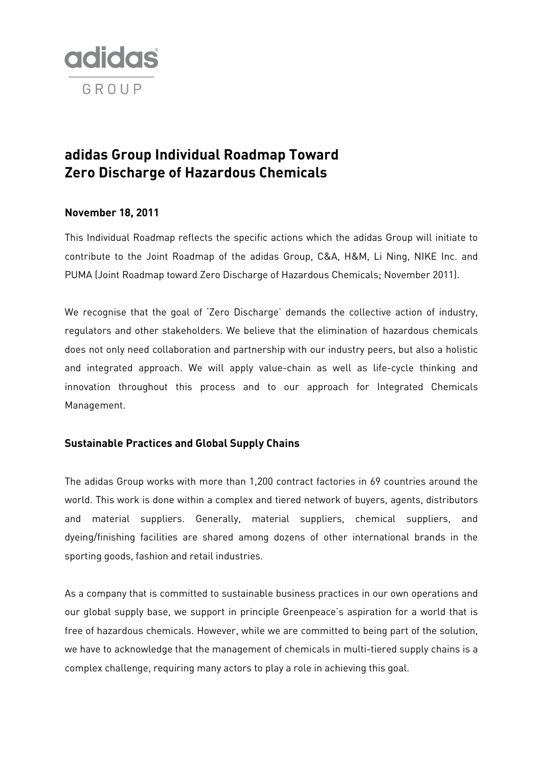

# **adidas Group Individual Roadmap Toward Zero Discharge of Hazardous Chemicals**

## **November 18, 2011**

This Individual Roadmap reflects the specific actions which the adidas Group will initiate to contribute to the Joint Roadmap of the adidas Group, C&A, H&M, Li Ning, NIKE Inc. and PUMA (Joint Roadmap toward Zero Discharge of Hazardous Chemicals; November 2011).

We recognise that the goal of 'Zero Discharge' demands the collective action of industry, regulators and other stakeholders. We believe that the elimination of hazardous chemicals does not only need collaboration and partnership with our industry peers, but also a holistic and integrated approach. We will apply value-chain as well as life-cycle thinking and innovation throughout this process and to our approach for Integrated Chemicals Management.

## **Sustainable Practices and Global Supply Chains**

The adidas Group works with more than 1,200 contract factories in 69 countries around the world. This work is done within a complex and tiered network of buyers, agents, distributors and material suppliers. Generally, material suppliers, chemical suppliers, and dyeing/finishing facilities are shared among dozens of other international brands in the sporting goods, fashion and retail industries.

As a company that is committed to sustainable business practices in our own operations and our global supply base, we support in principle Greenpeace's aspiration for a world that is free of hazardous chemicals. However, while we are committed to being part of the solution, we have to acknowledge that the management of chemicals in multi-tiered supply chains is a complex challenge, requiring many actors to play a role in achieving this goal.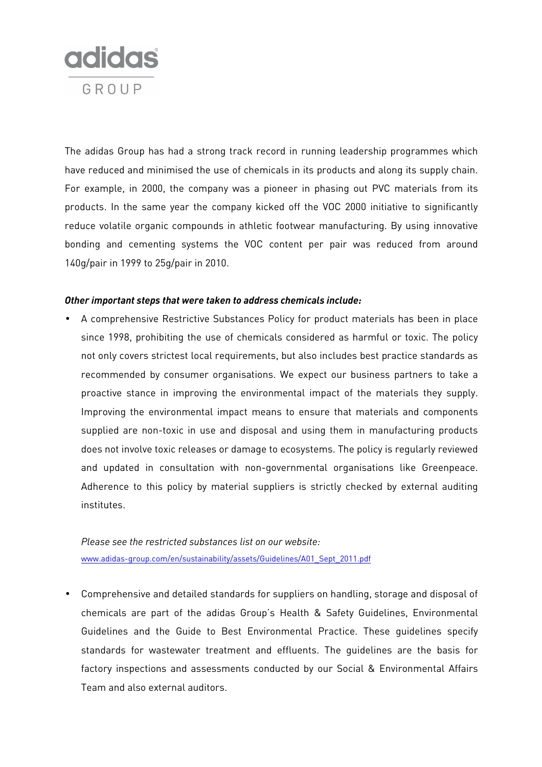

The adidas Group has had a strong track record in running leadership programmes which have reduced and minimised the use of chemicals in its products and along its supply chain. For example, in 2000, the company was a pioneer in phasing out PVC materials from its products. In the same year the company kicked off the VOC 2000 initiative to significantly reduce volatile organic compounds in athletic footwear manufacturing. By using innovative bonding and cementing systems the VOC content per pair was reduced from around 140g/pair in 1999 to 25g/pair in 2010.

#### *Other important steps that were taken to address chemicals include:*

• A comprehensive Restrictive Substances Policy for product materials has been in place since 1998, prohibiting the use of chemicals considered as harmful or toxic. The policy not only covers strictest local requirements, but also includes best practice standards as recommended by consumer organisations. We expect our business partners to take a proactive stance in improving the environmental impact of the materials they supply. Improving the environmental impact means to ensure that materials and components supplied are non-toxic in use and disposal and using them in manufacturing products does not involve toxic releases or damage to ecosystems. The policy is regularly reviewed and updated in consultation with non-governmental organisations like Greenpeace. Adherence to this policy by material suppliers is strictly checked by external auditing institutes.

*Please see the restricted substances list on our website:*  www.adidas-group.com/en/sustainability/assets/Guidelines/A01\_Sept\_2011.pdf

• Comprehensive and detailed standards for suppliers on handling, storage and disposal of chemicals are part of the adidas Group's Health & Safety Guidelines, Environmental Guidelines and the Guide to Best Environmental Practice. These guidelines specify standards for wastewater treatment and effluents. The guidelines are the basis for factory inspections and assessments conducted by our Social & Environmental Affairs Team and also external auditors.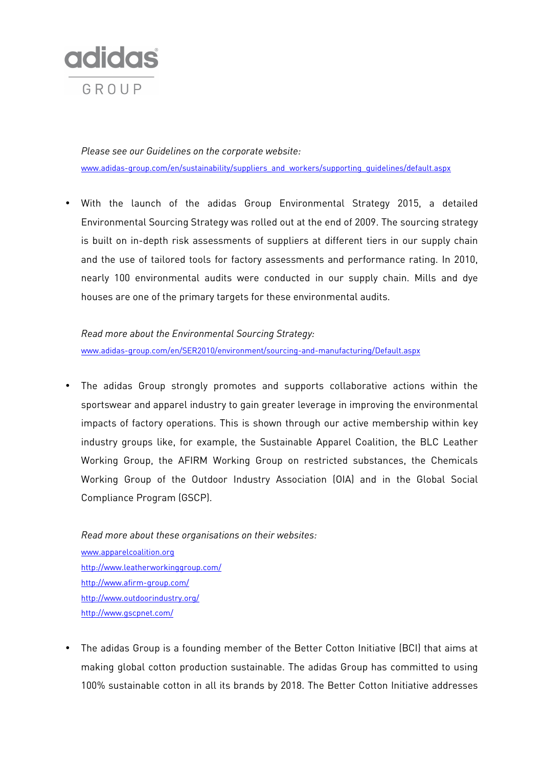

*Please see our Guidelines on the corporate website:*  www.adidas-group.com/en/sustainability/suppliers\_and\_workers/supporting\_guidelines/default.aspx

• With the launch of the adidas Group Environmental Strategy 2015, a detailed Environmental Sourcing Strategy was rolled out at the end of 2009. The sourcing strategy is built on in-depth risk assessments of suppliers at different tiers in our supply chain and the use of tailored tools for factory assessments and performance rating. In 2010, nearly 100 environmental audits were conducted in our supply chain. Mills and dye houses are one of the primary targets for these environmental audits.

*Read more about the Environmental Sourcing Strategy:*  www.adidas-group.com/en/SER2010/environment/sourcing-and-manufacturing/Default.aspx

The adidas Group strongly promotes and supports collaborative actions within the sportswear and apparel industry to gain greater leverage in improving the environmental impacts of factory operations. This is shown through our active membership within key industry groups like, for example, the Sustainable Apparel Coalition, the BLC Leather Working Group, the AFIRM Working Group on restricted substances, the Chemicals Working Group of the Outdoor Industry Association (OIA) and in the Global Social Compliance Program (GSCP).

*Read more about these organisations on their websites:*  www.apparelcoalition.org http://www.leatherworkinggroup.com/ http://www.afirm-group.com/ http://www.outdoorindustry.org/ http://www.gscpnet.com/

• The adidas Group is a founding member of the Better Cotton Initiative (BCI) that aims at making global cotton production sustainable. The adidas Group has committed to using 100% sustainable cotton in all its brands by 2018. The Better Cotton Initiative addresses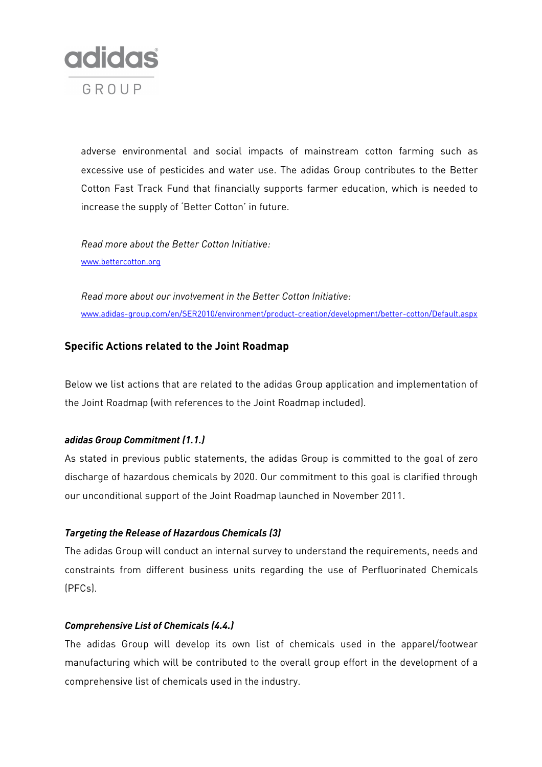

adverse environmental and social impacts of mainstream cotton farming such as excessive use of pesticides and water use. The adidas Group contributes to the Better Cotton Fast Track Fund that financially supports farmer education, which is needed to increase the supply of 'Better Cotton' in future.

*Read more about the Better Cotton Initiative:*  www.bettercotton.org

*Read more about our involvement in the Better Cotton Initiative:*  www.adidas-group.com/en/SER2010/environment/product-creation/development/better-cotton/Default.aspx

# **Specific Actions related to the Joint Roadmap**

Below we list actions that are related to the adidas Group application and implementation of the Joint Roadmap (with references to the Joint Roadmap included).

#### *adidas Group Commitment (1.1.)*

As stated in previous public statements, the adidas Group is committed to the goal of zero discharge of hazardous chemicals by 2020. Our commitment to this goal is clarified through our unconditional support of the Joint Roadmap launched in November 2011.

## *Targeting the Release of Hazardous Chemicals (3)*

The adidas Group will conduct an internal survey to understand the requirements, needs and constraints from different business units regarding the use of Perfluorinated Chemicals (PFCs).

#### *Comprehensive List of Chemicals (4.4.)*

The adidas Group will develop its own list of chemicals used in the apparel/footwear manufacturing which will be contributed to the overall group effort in the development of a comprehensive list of chemicals used in the industry.